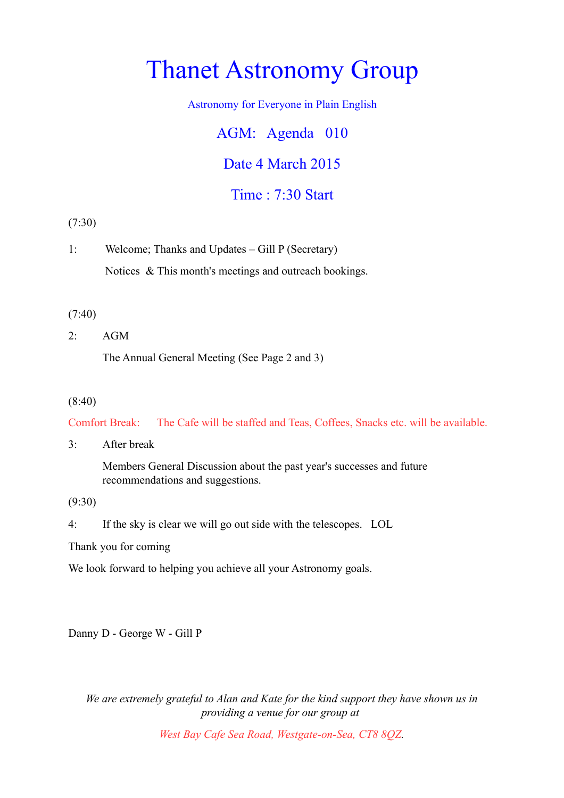## Thanet Astronomy Group

Astronomy for Everyone in Plain English

AGM: Agenda 010

Date 4 March 2015

Time : 7:30 Start

(7:30)

1: Welcome; Thanks and Updates – Gill P (Secretary) Notices & This month's meetings and outreach bookings.

#### (7:40)

 $2: AGM$ 

The Annual General Meeting (See Page 2 and 3)

#### (8:40)

Comfort Break: The Cafe will be staffed and Teas, Coffees, Snacks etc. will be available.

3: After break

Members General Discussion about the past year's successes and future recommendations and suggestions.

(9:30)

4: If the sky is clear we will go out side with the telescopes. LOL

Thank you for coming

We look forward to helping you achieve all your Astronomy goals.

Danny D - George W - Gill P

*We are extremely grateful to Alan and Kate for the kind support they have shown us in providing a venue for our group at* 

*West Bay Cafe Sea Road, Westgate-on-Sea, CT8 8QZ.*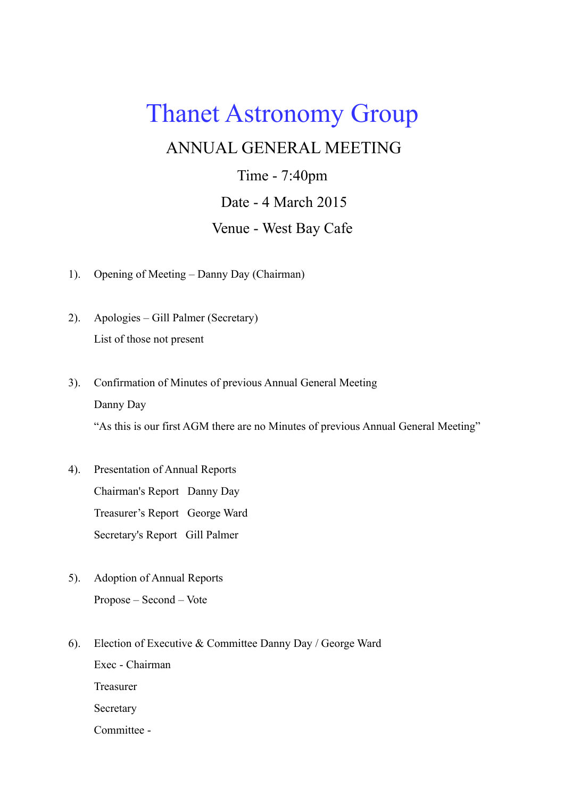# Thanet Astronomy Group

### ANNUAL GENERAL MEETING

Time - 7:40pm Date - 4 March 2015 Venue - West Bay Cafe

- 1). Opening of Meeting Danny Day (Chairman)
- 2). Apologies Gill Palmer (Secretary) List of those not present
- 3). Confirmation of Minutes of previous Annual General Meeting Danny Day

"As this is our first AGM there are no Minutes of previous Annual General Meeting"

- 4). Presentation of Annual Reports Chairman's Report Danny Day Treasurer's Report George Ward Secretary's Report Gill Palmer
- 5). Adoption of Annual Reports Propose – Second – Vote
- 6). Election of Executive & Committee Danny Day / George Ward

Exec - Chairman Treasurer **Secretary** Committee -